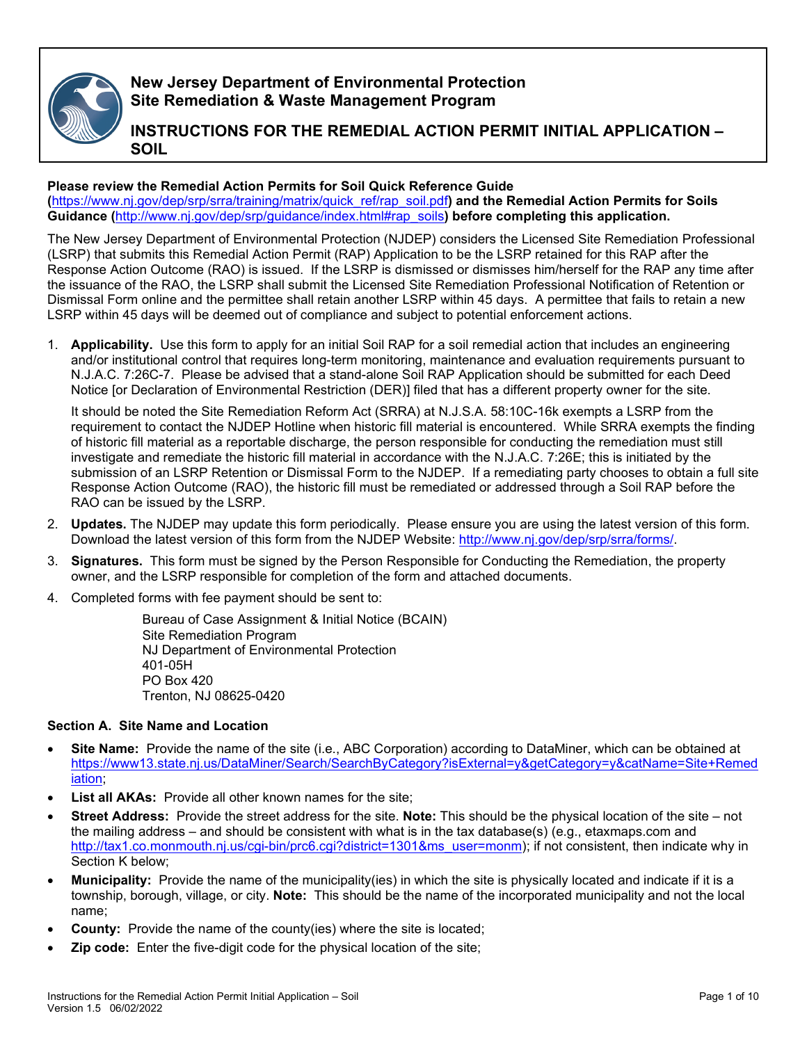

**New Jersey Department of Environmental Protection Site Remediation & Waste Management Program**

**INSTRUCTIONS FOR THE REMEDIAL ACTION PERMIT INITIAL APPLICATION – SOIL** 

#### **Please review the Remedial Action Permits for Soil Quick Reference Guide**

**(**[https://www.nj.gov/dep/srp/srra/training/matrix/quick\\_ref/rap\\_soil.pdf](https://www.nj.gov/dep/srp/srra/training/matrix/quick_ref/rap_soil.pdf)**) and the Remedial Action Permits for Soils Guidance (**[http://www.nj.gov/dep/srp/guidance/index.html#rap\\_soils](http://www.nj.gov/dep/srp/guidance/index.html#rap_soils)**) before completing this application.**

The New Jersey Department of Environmental Protection (NJDEP) considers the Licensed Site Remediation Professional (LSRP) that submits this Remedial Action Permit (RAP) Application to be the LSRP retained for this RAP after the Response Action Outcome (RAO) is issued. If the LSRP is dismissed or dismisses him/herself for the RAP any time after the issuance of the RAO, the LSRP shall submit the Licensed Site Remediation Professional Notification of Retention or Dismissal Form online and the permittee shall retain another LSRP within 45 days. A permittee that fails to retain a new LSRP within 45 days will be deemed out of compliance and subject to potential enforcement actions.

1. **Applicability.** Use this form to apply for an initial Soil RAP for a soil remedial action that includes an engineering and/or institutional control that requires long-term monitoring, maintenance and evaluation requirements pursuant to N.J.A.C. 7:26C-7. Please be advised that a stand-alone Soil RAP Application should be submitted for each Deed Notice [or Declaration of Environmental Restriction (DER)] filed that has a different property owner for the site.

It should be noted the Site Remediation Reform Act (SRRA) at N.J.S.A. 58:10C-16k exempts a LSRP from the requirement to contact the NJDEP Hotline when historic fill material is encountered. While SRRA exempts the finding of historic fill material as a reportable discharge, the person responsible for conducting the remediation must still investigate and remediate the historic fill material in accordance with the N.J.A.C. 7:26E; this is initiated by the submission of an LSRP Retention or Dismissal Form to the NJDEP. If a remediating party chooses to obtain a full site Response Action Outcome (RAO), the historic fill must be remediated or addressed through a Soil RAP before the RAO can be issued by the LSRP.

- 2. **Updates.** The NJDEP may update this form periodically. Please ensure you are using the latest version of this form. Download the latest version of this form from the NJDEP Website: [http://www.nj.gov/dep/srp/srra/forms/.](http://www.nj.gov/dep/srp/srra/forms/)
- 3. **Signatures.** This form must be signed by the Person Responsible for Conducting the Remediation, the property owner, and the LSRP responsible for completion of the form and attached documents.
- 4. Completed forms with fee payment should be sent to:

Bureau of Case Assignment & Initial Notice (BCAIN) Site Remediation Program NJ Department of Environmental Protection 401-05H PO Box 420 Trenton, NJ 08625-0420

#### **Section A. Site Name and Location**

- **Site Name:** Provide the name of the site (i.e., ABC Corporation) according to DataMiner, which can be obtained at [https://www13.state.nj.us/DataMiner/Search/SearchByCategory?isExternal=y&getCategory=y&catName=Site+Remed](https://www13.state.nj.us/DataMiner/Search/SearchByCategory?isExternal=y&getCategory=y&catName=Site+Remediation) [iation;](https://www13.state.nj.us/DataMiner/Search/SearchByCategory?isExternal=y&getCategory=y&catName=Site+Remediation)
- List all AKAs: Provide all other known names for the site;
- **Street Address:** Provide the street address for the site. **Note:** This should be the physical location of the site not the mailing address – and should be consistent with what is in the tax database(s) (e.g., etaxmaps.com and [http://tax1.co.monmouth.nj.us/cgi-bin/prc6.cgi?district=1301&ms\\_user=monm\)](http://tax1.co.monmouth.nj.us/cgi-bin/prc6.cgi?district=1301&ms_user=monm); if not consistent, then indicate why in Section K below;
- **Municipality:** Provide the name of the municipality(ies) in which the site is physically located and indicate if it is a township, borough, village, or city. **Note:** This should be the name of the incorporated municipality and not the local name;
- **County:** Provide the name of the county(ies) where the site is located;
- **Zip code:** Enter the five-digit code for the physical location of the site;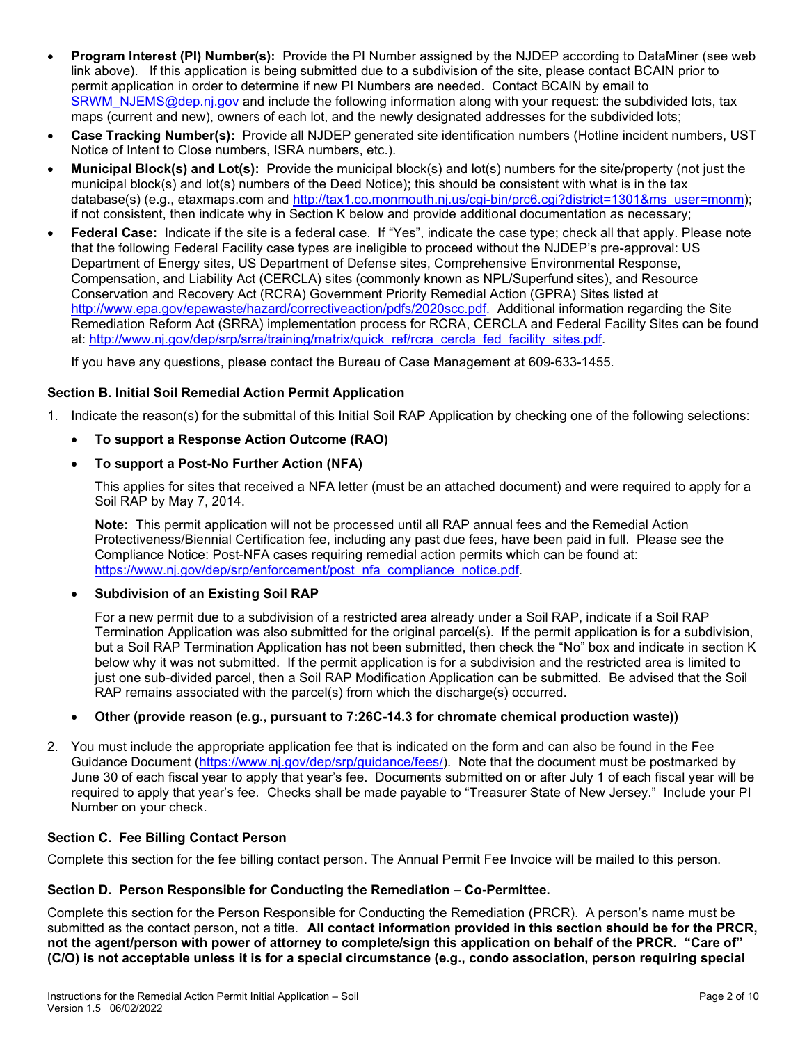- **Program Interest (PI) Number(s):** Provide the PI Number assigned by the NJDEP according to DataMiner (see web link above). If this application is being submitted due to a subdivision of the site, please contact BCAIN prior to permit application in order to determine if new PI Numbers are needed. Contact BCAIN by email to [SRWM\\_NJEMS@dep.nj.gov](mailto:SRWM_NJEMS@dep.nj.gov) and include the following information along with your request: the subdivided lots, tax maps (current and new), owners of each lot, and the newly designated addresses for the subdivided lots;
- **Case Tracking Number(s):** Provide all NJDEP generated site identification numbers (Hotline incident numbers, UST Notice of Intent to Close numbers, ISRA numbers, etc.).
- **Municipal Block(s) and Lot(s):** Provide the municipal block(s) and lot(s) numbers for the site/property (not just the municipal block(s) and lot(s) numbers of the Deed Notice); this should be consistent with what is in the tax database(s) (e.g., etaxmaps.com and [http://tax1.co.monmouth.nj.us/cgi-bin/prc6.cgi?district=1301&ms\\_user=monm\)](http://tax1.co.monmouth.nj.us/cgi-bin/prc6.cgi?district=1301&ms_user=monm); if not consistent, then indicate why in Section K below and provide additional documentation as necessary;
- **Federal Case:** Indicate if the site is a federal case. If "Yes", indicate the case type; check all that apply. Please note that the following Federal Facility case types are ineligible to proceed without the NJDEP's pre-approval: US Department of Energy sites, US Department of Defense sites, Comprehensive Environmental Response, Compensation, and Liability Act (CERCLA) sites (commonly known as NPL/Superfund sites), and Resource Conservation and Recovery Act (RCRA) Government Priority Remedial Action (GPRA) Sites listed at [http://www.epa.gov/epawaste/hazard/correctiveaction/pdfs/2020scc.pdf.](http://www.epa.gov/epawaste/hazard/correctiveaction/pdfs/2020scc.pdf) Additional information regarding the Site Remediation Reform Act (SRRA) implementation process for RCRA, CERCLA and Federal Facility Sites can be found at: [http://www.nj.gov/dep/srp/srra/training/matrix/quick\\_ref/rcra\\_cercla\\_fed\\_facility\\_sites.pdf.](http://www.nj.gov/dep/srp/srra/training/matrix/quick_ref/rcra_cercla_fed_facility_sites.pdf)

If you have any questions, please contact the Bureau of Case Management at 609-633-1455.

## **Section B. Initial Soil Remedial Action Permit Application**

- 1. Indicate the reason(s) for the submittal of this Initial Soil RAP Application by checking one of the following selections:
	- **To support a Response Action Outcome (RAO)**

#### • **To support a Post-No Further Action (NFA)**

This applies for sites that received a NFA letter (must be an attached document) and were required to apply for a Soil RAP by May 7, 2014.

**Note:** This permit application will not be processed until all RAP annual fees and the Remedial Action Protectiveness/Biennial Certification fee, including any past due fees, have been paid in full. Please see the Compliance Notice: Post-NFA cases requiring remedial action permits which can be found at: https://www.nj.gov/dep/srp/enforcement/post\_nfa\_compliance\_notice.pdf

#### • **Subdivision of an Existing Soil RAP**

For a new permit due to a subdivision of a restricted area already under a Soil RAP, indicate if a Soil RAP Termination Application was also submitted for the original parcel(s). If the permit application is for a subdivision, but a Soil RAP Termination Application has not been submitted, then check the "No" box and indicate in section K below why it was not submitted. If the permit application is for a subdivision and the restricted area is limited to just one sub-divided parcel, then a Soil RAP Modification Application can be submitted. Be advised that the Soil RAP remains associated with the parcel(s) from which the discharge(s) occurred.

#### • **Other (provide reason (e.g., pursuant to 7:26C-14.3 for chromate chemical production waste))**

2. You must include the appropriate application fee that is indicated on the form and can also be found in the Fee Guidance Document [\(https://www.nj.gov/dep/srp/guidance/fees/\)](https://www.nj.gov/dep/srp/guidance/fees/). Note that the document must be postmarked by June 30 of each fiscal year to apply that year's fee. Documents submitted on or after July 1 of each fiscal year will be required to apply that year's fee. Checks shall be made payable to "Treasurer State of New Jersey." Include your PI Number on your check.

#### **Section C. Fee Billing Contact Person**

Complete this section for the fee billing contact person. The Annual Permit Fee Invoice will be mailed to this person.

#### **Section D. Person Responsible for Conducting the Remediation – Co-Permittee.**

Complete this section for the Person Responsible for Conducting the Remediation (PRCR). A person's name must be submitted as the contact person, not a title. **All contact information provided in this section should be for the PRCR, not the agent/person with power of attorney to complete/sign this application on behalf of the PRCR. "Care of" (C/O) is not acceptable unless it is for a special circumstance (e.g., condo association, person requiring special**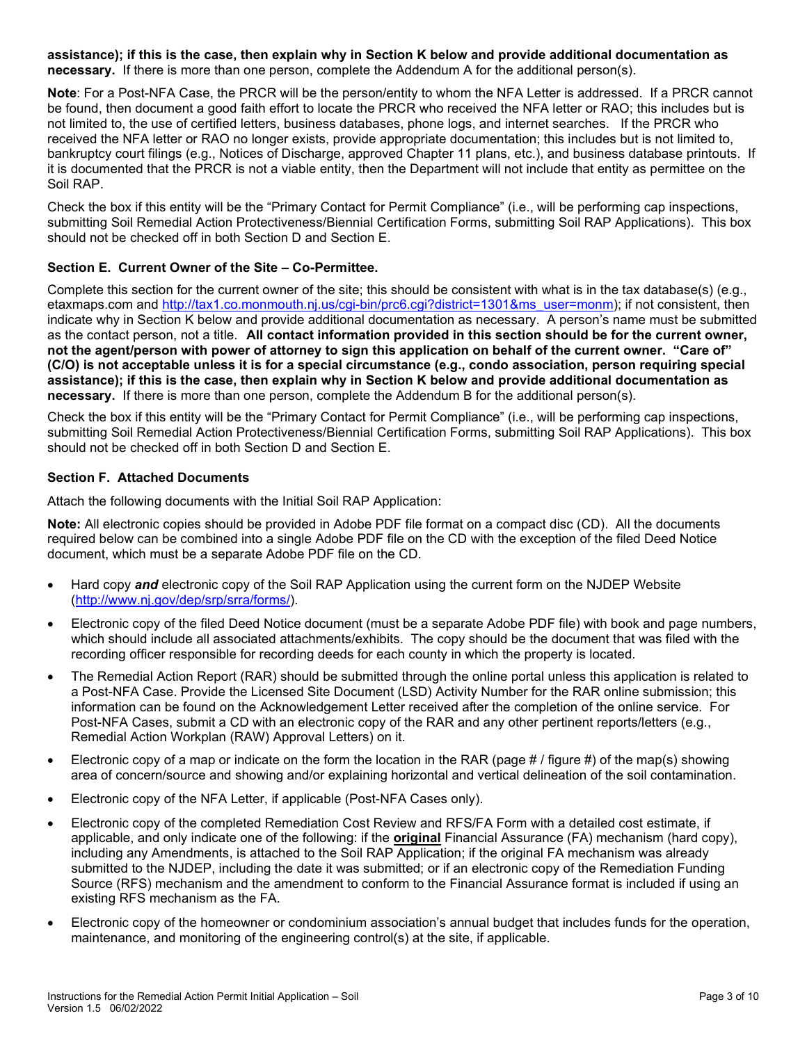**assistance); if this is the case, then explain why in Section K below and provide additional documentation as necessary.** If there is more than one person, complete the Addendum A for the additional person(s).

**Note**: For a Post-NFA Case, the PRCR will be the person/entity to whom the NFA Letter is addressed. If a PRCR cannot be found, then document a good faith effort to locate the PRCR who received the NFA letter or RAO; this includes but is not limited to, the use of certified letters, business databases, phone logs, and internet searches. If the PRCR who received the NFA letter or RAO no longer exists, provide appropriate documentation; this includes but is not limited to, bankruptcy court filings (e.g., Notices of Discharge, approved Chapter 11 plans, etc.), and business database printouts. If it is documented that the PRCR is not a viable entity, then the Department will not include that entity as permittee on the Soil RAP.

Check the box if this entity will be the "Primary Contact for Permit Compliance" (i.e., will be performing cap inspections, submitting Soil Remedial Action Protectiveness/Biennial Certification Forms, submitting Soil RAP Applications). This box should not be checked off in both Section D and Section E.

## **Section E. Current Owner of the Site – Co-Permittee.**

Complete this section for the current owner of the site; this should be consistent with what is in the tax database(s) (e.g., etaxmaps.com and [http://tax1.co.monmouth.nj.us/cgi-bin/prc6.cgi?district=1301&ms\\_user=monm\)](http://tax1.co.monmouth.nj.us/cgi-bin/prc6.cgi?district=1301&ms_user=monm); if not consistent, then indicate why in Section K below and provide additional documentation as necessary. A person's name must be submitted as the contact person, not a title. **All contact information provided in this section should be for the current owner, not the agent/person with power of attorney to sign this application on behalf of the current owner. "Care of" (C/O) is not acceptable unless it is for a special circumstance (e.g., condo association, person requiring special assistance); if this is the case, then explain why in Section K below and provide additional documentation as necessary.** If there is more than one person, complete the Addendum B for the additional person(s).

Check the box if this entity will be the "Primary Contact for Permit Compliance" (i.e., will be performing cap inspections, submitting Soil Remedial Action Protectiveness/Biennial Certification Forms, submitting Soil RAP Applications). This box should not be checked off in both Section D and Section E.

## **Section F. Attached Documents**

Attach the following documents with the Initial Soil RAP Application:

**Note:** All electronic copies should be provided in Adobe PDF file format on a compact disc (CD). All the documents required below can be combined into a single Adobe PDF file on the CD with the exception of the filed Deed Notice document, which must be a separate Adobe PDF file on the CD.

- Hard copy *and* electronic copy of the Soil RAP Application using the current form on the NJDEP Website [\(http://www.nj.gov/dep/srp/srra/forms/\)](http://www.nj.gov/dep/srp/srra/forms/).
- Electronic copy of the filed Deed Notice document (must be a separate Adobe PDF file) with book and page numbers, which should include all associated attachments/exhibits. The copy should be the document that was filed with the recording officer responsible for recording deeds for each county in which the property is located.
- The Remedial Action Report (RAR) should be submitted through the online portal unless this application is related to a Post-NFA Case. Provide the Licensed Site Document (LSD) Activity Number for the RAR online submission; this information can be found on the Acknowledgement Letter received after the completion of the online service. For Post-NFA Cases, submit a CD with an electronic copy of the RAR and any other pertinent reports/letters (e.g., Remedial Action Workplan (RAW) Approval Letters) on it.
- Electronic copy of a map or indicate on the form the location in the RAR (page # / figure #) of the map(s) showing area of concern/source and showing and/or explaining horizontal and vertical delineation of the soil contamination.
- Electronic copy of the NFA Letter, if applicable (Post-NFA Cases only).
- Electronic copy of the completed Remediation Cost Review and RFS/FA Form with a detailed cost estimate, if applicable, and only indicate one of the following: if the **original** Financial Assurance (FA) mechanism (hard copy), including any Amendments, is attached to the Soil RAP Application; if the original FA mechanism was already submitted to the NJDEP, including the date it was submitted; or if an electronic copy of the Remediation Funding Source (RFS) mechanism and the amendment to conform to the Financial Assurance format is included if using an existing RFS mechanism as the FA.
- Electronic copy of the homeowner or condominium association's annual budget that includes funds for the operation, maintenance, and monitoring of the engineering control(s) at the site, if applicable.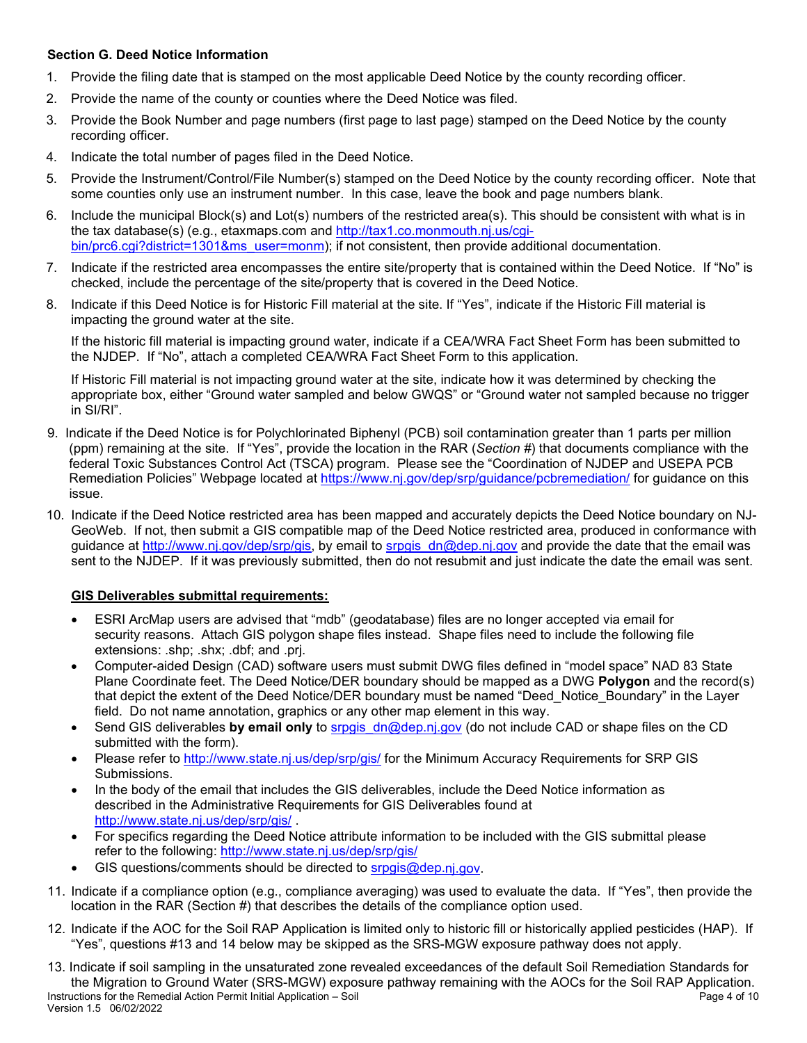## **Section G. Deed Notice Information**

- 1. Provide the filing date that is stamped on the most applicable Deed Notice by the county recording officer.
- 2. Provide the name of the county or counties where the Deed Notice was filed.
- 3. Provide the Book Number and page numbers (first page to last page) stamped on the Deed Notice by the county recording officer.
- 4. Indicate the total number of pages filed in the Deed Notice.
- 5. Provide the Instrument/Control/File Number(s) stamped on the Deed Notice by the county recording officer. Note that some counties only use an instrument number. In this case, leave the book and page numbers blank.
- 6. Include the municipal Block(s) and Lot(s) numbers of the restricted area(s). This should be consistent with what is in the tax database(s) (e.g., etaxmaps.com and [http://tax1.co.monmouth.nj.us/cgi](http://tax1.co.monmouth.nj.us/cgi-bin/prc6.cgi?district=1301&ms_user=monm)[bin/prc6.cgi?district=1301&ms\\_user=monm\)](http://tax1.co.monmouth.nj.us/cgi-bin/prc6.cgi?district=1301&ms_user=monm); if not consistent, then provide additional documentation.
- 7. Indicate if the restricted area encompasses the entire site/property that is contained within the Deed Notice. If "No" is checked, include the percentage of the site/property that is covered in the Deed Notice.
- 8. Indicate if this Deed Notice is for Historic Fill material at the site. If "Yes", indicate if the Historic Fill material is impacting the ground water at the site.

 If the historic fill material is impacting ground water, indicate if a CEA/WRA Fact Sheet Form has been submitted to the NJDEP. If "No", attach a completed CEA/WRA Fact Sheet Form to this application.

If Historic Fill material is not impacting ground water at the site, indicate how it was determined by checking the appropriate box, either "Ground water sampled and below GWQS" or "Ground water not sampled because no trigger in SI/RI".

- 9. Indicate if the Deed Notice is for Polychlorinated Biphenyl (PCB) soil contamination greater than 1 parts per million (ppm) remaining at the site. If "Yes", provide the location in the RAR (*Section #*) that documents compliance with the federal Toxic Substances Control Act (TSCA) program. Please see the "Coordination of NJDEP and USEPA PCB Remediation Policies" Webpage located at<https://www.nj.gov/dep/srp/guidance/pcbremediation/> for guidance on this issue.
- 10. Indicate if the Deed Notice restricted area has been mapped and accurately depicts the Deed Notice boundary on NJ-GeoWeb. If not, then submit a GIS compatible map of the Deed Notice restricted area, produced in conformance with guidance at [http://www.nj.gov/dep/srp/gis,](http://www.nj.gov/dep/srp/gis) by email to srpgis**\_**[dn@dep.nj.gov](mailto:srpgis_dn@dep.nj.gov) and provide the date that the email was sent to the NJDEP. If it was previously submitted, then do not resubmit and just indicate the date the email was sent.

## **GIS Deliverables submittal requirements:**

- ESRI ArcMap users are advised that "mdb" (geodatabase) files are no longer accepted via email for security reasons. Attach GIS polygon shape files instead. Shape files need to include the following file extensions: .shp; .shx; .dbf; and .prj.
- Computer-aided Design (CAD) software users must submit DWG files defined in "model space" NAD 83 State Plane Coordinate feet. The Deed Notice/DER boundary should be mapped as a DWG **Polygon** and the record(s) that depict the extent of the Deed Notice/DER boundary must be named "Deed\_Notice\_Boundary" in the Layer field. Do not name annotation, graphics or any other map element in this way.
- Send GIS deliverables **by email only** to [srpgis\\_dn@dep.nj.gov](mailto:srpgis_dn@dep.nj.gov) (do not include CAD or shape files on the CD submitted with the form).
- Please refer to<http://www.state.nj.us/dep/srp/gis/>for the Minimum Accuracy Requirements for SRP GIS Submissions.
- In the body of the email that includes the GIS deliverables, include the Deed Notice information as described in the Administrative Requirements for GIS Deliverables found at <http://www.state.nj.us/dep/srp/gis/>.
- For specifics regarding the Deed Notice attribute information to be included with the GIS submittal please refer to the following:<http://www.state.nj.us/dep/srp/gis/>
- GIS questions/comments should be directed to [srpgis@dep.n](mailto:srpgis@dep.)j.gov.
- 11. Indicate if a compliance option (e.g., compliance averaging) was used to evaluate the data. If "Yes", then provide the location in the RAR (Section #) that describes the details of the compliance option used.
- 12. Indicate if the AOC for the Soil RAP Application is limited only to historic fill or historically applied pesticides (HAP). If "Yes", questions #13 and 14 below may be skipped as the SRS-MGW exposure pathway does not apply.
- Instructions for the Remedial Action Permit Initial Application Soil Page 4 of 10 Version 1.5 06/02/2022 13. Indicate if soil sampling in the unsaturated zone revealed exceedances of the default Soil Remediation Standards for the Migration to Ground Water (SRS-MGW) exposure pathway remaining with the AOCs for the Soil RAP Application.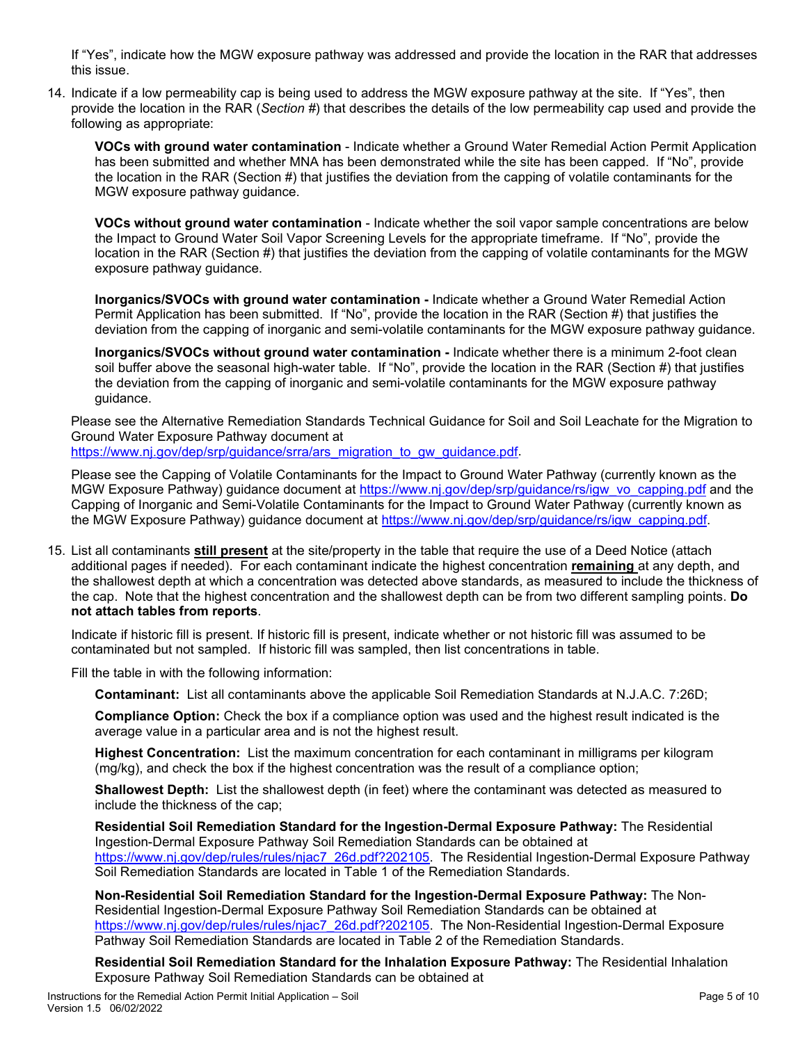If "Yes", indicate how the MGW exposure pathway was addressed and provide the location in the RAR that addresses this issue.

14. Indicate if a low permeability cap is being used to address the MGW exposure pathway at the site. If "Yes", then provide the location in the RAR (*Section #*) that describes the details of the low permeability cap used and provide the following as appropriate:

**VOCs with ground water contamination** - Indicate whether a Ground Water Remedial Action Permit Application has been submitted and whether MNA has been demonstrated while the site has been capped. If "No", provide the location in the RAR (Section #) that justifies the deviation from the capping of volatile contaminants for the MGW exposure pathway guidance.

**VOCs without ground water contamination** - Indicate whether the soil vapor sample concentrations are below the Impact to Ground Water Soil Vapor Screening Levels for the appropriate timeframe. If "No", provide the location in the RAR (Section #) that justifies the deviation from the capping of volatile contaminants for the MGW exposure pathway guidance.

**Inorganics/SVOCs with ground water contamination -** Indicate whether a Ground Water Remedial Action Permit Application has been submitted. If "No", provide the location in the RAR (Section #) that justifies the deviation from the capping of inorganic and semi-volatile contaminants for the MGW exposure pathway guidance.

**Inorganics/SVOCs without ground water contamination -** Indicate whether there is a minimum 2-foot clean soil buffer above the seasonal high-water table. If "No", provide the location in the RAR (Section #) that justifies the deviation from the capping of inorganic and semi-volatile contaminants for the MGW exposure pathway guidance.

Please see the Alternative Remediation Standards Technical Guidance for Soil and Soil Leachate for the Migration to Ground Water Exposure Pathway document at

https://www.ni.gov/dep/srp/guidance/srra/ars\_migration\_to\_gw\_guidance.pdf.

Please see the Capping of Volatile Contaminants for the Impact to Ground Water Pathway (currently known as the MGW Exposure Pathway) guidance document at [https://www.nj.gov/dep/srp/guidance/rs/igw\\_vo\\_capping.pdf](https://www.nj.gov/dep/srp/guidance/rs/igw_vo_capping.pdf) and the Capping of Inorganic and Semi-Volatile Contaminants for the Impact to Ground Water Pathway (currently known as the MGW Exposure Pathway) guidance document at [https://www.nj.gov/dep/srp/guidance/rs/igw\\_capping.pdf.](https://www.nj.gov/dep/srp/guidance/rs/igw_capping.pdf)

15. List all contaminants **still present** at the site/property in the table that require the use of a Deed Notice (attach additional pages if needed). For each contaminant indicate the highest concentration **remaining** at any depth, and the shallowest depth at which a concentration was detected above standards, as measured to include the thickness of the cap. Note that the highest concentration and the shallowest depth can be from two different sampling points. **Do not attach tables from reports**.

Indicate if historic fill is present. If historic fill is present, indicate whether or not historic fill was assumed to be contaminated but not sampled. If historic fill was sampled, then list concentrations in table.

Fill the table in with the following information:

**Contaminant:** List all contaminants above the applicable Soil Remediation Standards at N.J.A.C. 7:26D;

**Compliance Option:** Check the box if a compliance option was used and the highest result indicated is the average value in a particular area and is not the highest result.

**Highest Concentration:** List the maximum concentration for each contaminant in milligrams per kilogram (mg/kg), and check the box if the highest concentration was the result of a compliance option;

**Shallowest Depth:** List the shallowest depth (in feet) where the contaminant was detected as measured to include the thickness of the cap;

**Residential Soil Remediation Standard for the Ingestion-Dermal Exposure Pathway:** The Residential Ingestion-Dermal Exposure Pathway Soil Remediation Standards can be obtained at [https://www.nj.gov/dep/rules/rules/njac7\\_26d.pdf?202105.](https://www.nj.gov/dep/rules/rules/njac7_26d.pdf?202105) The Residential Ingestion-Dermal Exposure Pathway Soil Remediation Standards are located in Table 1 of the Remediation Standards.

**Non-Residential Soil Remediation Standard for the Ingestion-Dermal Exposure Pathway:** The Non-Residential Ingestion-Dermal Exposure Pathway Soil Remediation Standards can be obtained at [https://www.nj.gov/dep/rules/rules/njac7\\_26d.pdf?202105.](https://www.nj.gov/dep/rules/rules/njac7_26d.pdf?202105) The Non-Residential Ingestion-Dermal Exposure Pathway Soil Remediation Standards are located in Table 2 of the Remediation Standards.

**Residential Soil Remediation Standard for the Inhalation Exposure Pathway:** The Residential Inhalation Exposure Pathway Soil Remediation Standards can be obtained at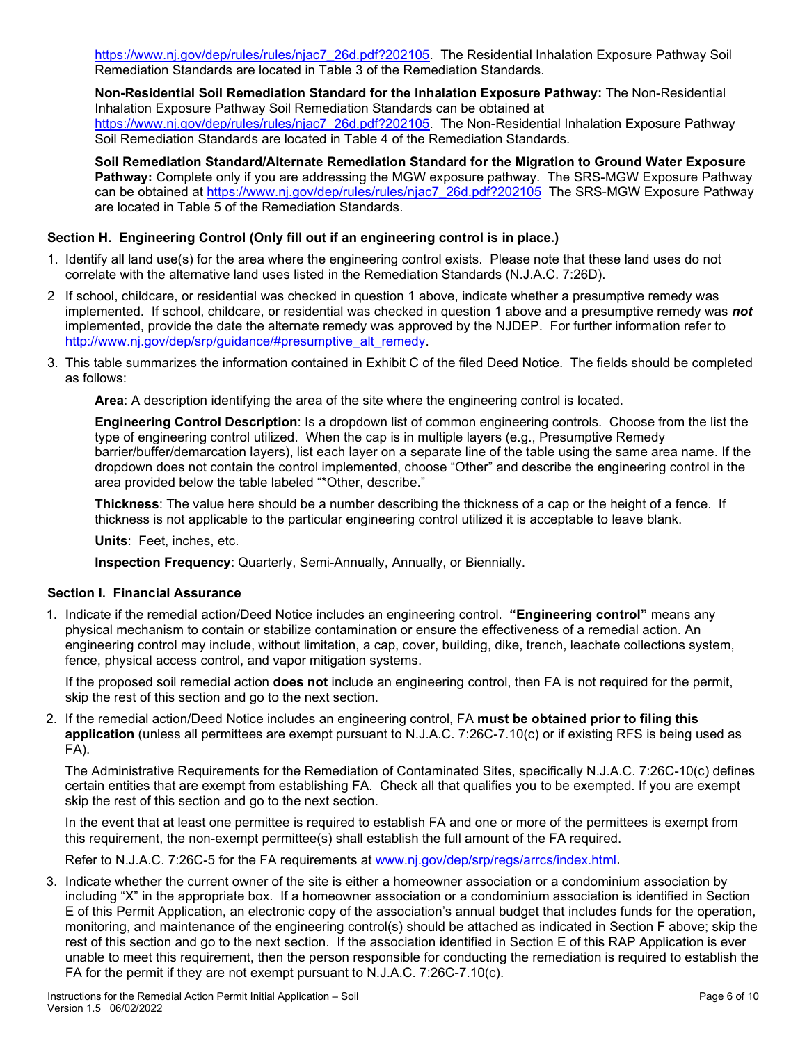[https://www.nj.gov/dep/rules/rules/njac7\\_26d.pdf?202105.](https://www.nj.gov/dep/rules/rules/njac7_26d.pdf?202105) The Residential Inhalation Exposure Pathway Soil Remediation Standards are located in Table 3 of the Remediation Standards.

**Non-Residential Soil Remediation Standard for the Inhalation Exposure Pathway:** The Non-Residential Inhalation Exposure Pathway Soil Remediation Standards can be obtained at [https://www.nj.gov/dep/rules/rules/njac7\\_26d.pdf?202105.](https://www.nj.gov/dep/rules/rules/njac7_26d.pdf?202105) The Non-Residential Inhalation Exposure Pathway Soil Remediation Standards are located in Table 4 of the Remediation Standards.

**Soil Remediation Standard/Alternate Remediation Standard for the Migration to Ground Water Exposure Pathway:** Complete only if you are addressing the MGW exposure pathway. The SRS-MGW Exposure Pathway can be obtained at [https://www.nj.gov/dep/rules/rules/njac7\\_26d.pdf?202105](https://www.nj.gov/dep/rules/rules/njac7_26d.pdf?202105) The SRS-MGW Exposure Pathway are located in Table 5 of the Remediation Standards.

## **Section H. Engineering Control (Only fill out if an engineering control is in place.)**

- 1. Identify all land use(s) for the area where the engineering control exists. Please note that these land uses do not correlate with the alternative land uses listed in the Remediation Standards (N.J.A.C. 7:26D).
- 2 If school, childcare, or residential was checked in question 1 above, indicate whether a presumptive remedy was implemented. If school, childcare, or residential was checked in question 1 above and a presumptive remedy was *not* implemented, provide the date the alternate remedy was approved by the NJDEP. For further information refer to [http://www.nj.gov/dep/srp/guidance/#presumptive\\_alt\\_remedy.](http://www.nj.gov/dep/srp/guidance/#presumptive_alt_remedy)
- 3. This table summarizes the information contained in Exhibit C of the filed Deed Notice. The fields should be completed as follows:

**Area**: A description identifying the area of the site where the engineering control is located.

**Engineering Control Description**: Is a dropdown list of common engineering controls. Choose from the list the type of engineering control utilized. When the cap is in multiple layers (e.g., Presumptive Remedy barrier/buffer/demarcation layers), list each layer on a separate line of the table using the same area name. If the dropdown does not contain the control implemented, choose "Other" and describe the engineering control in the area provided below the table labeled "\*Other, describe."

**Thickness**: The value here should be a number describing the thickness of a cap or the height of a fence. If thickness is not applicable to the particular engineering control utilized it is acceptable to leave blank.

**Units**: Feet, inches, etc.

**Inspection Frequency**: Quarterly, Semi-Annually, Annually, or Biennially.

## **Section I. Financial Assurance**

1. Indicate if the remedial action/Deed Notice includes an engineering control. **"Engineering control"** means any physical mechanism to contain or stabilize contamination or ensure the effectiveness of a remedial action. An engineering control may include, without limitation, a cap, cover, building, dike, trench, leachate collections system, fence, physical access control, and vapor mitigation systems.

If the proposed soil remedial action **does not** include an engineering control, then FA is not required for the permit, skip the rest of this section and go to the next section.

2. If the remedial action/Deed Notice includes an engineering control, FA **must be obtained prior to filing this application** (unless all permittees are exempt pursuant to N.J.A.C. 7:26C-7.10(c) or if existing RFS is being used as FA).

The Administrative Requirements for the Remediation of Contaminated Sites, specifically N.J.A.C. 7:26C-10(c) defines certain entities that are exempt from establishing FA. Check all that qualifies you to be exempted. If you are exempt skip the rest of this section and go to the next section.

In the event that at least one permittee is required to establish FA and one or more of the permittees is exempt from this requirement, the non-exempt permittee(s) shall establish the full amount of the FA required.

Refer to N.J.A.C. 7:26C-5 for the FA requirements at [www.nj.gov/dep/srp/regs/arrcs/index.html.](file:///C:%5CUsers%5Cpbauer%5CAppData%5CLocal%5CMicrosoft%5CWindows%5CINetCache%5Cpbauer%5CAppData%5CLocal%5CMicrosoft%5CWindows%5CTemporary%20Internet%20Files%5Cbhose%5CAppData%5CLocal%5CMicrosoft%5CWindows%5CLocal%20Settings%5CTemporary%20Internet%20Files%5CContent.Outlook%5CI2JSDHFU%5Cwww.nj.gov%5Cdep%5Csrp%5Cregs%5Carrcs%5Cindex.html)

3. Indicate whether the current owner of the site is either a homeowner association or a condominium association by including "X" in the appropriate box. If a homeowner association or a condominium association is identified in Section E of this Permit Application, an electronic copy of the association's annual budget that includes funds for the operation, monitoring, and maintenance of the engineering control(s) should be attached as indicated in Section F above; skip the rest of this section and go to the next section. If the association identified in Section E of this RAP Application is ever unable to meet this requirement, then the person responsible for conducting the remediation is required to establish the FA for the permit if they are not exempt pursuant to N.J.A.C. 7:26C-7.10(c).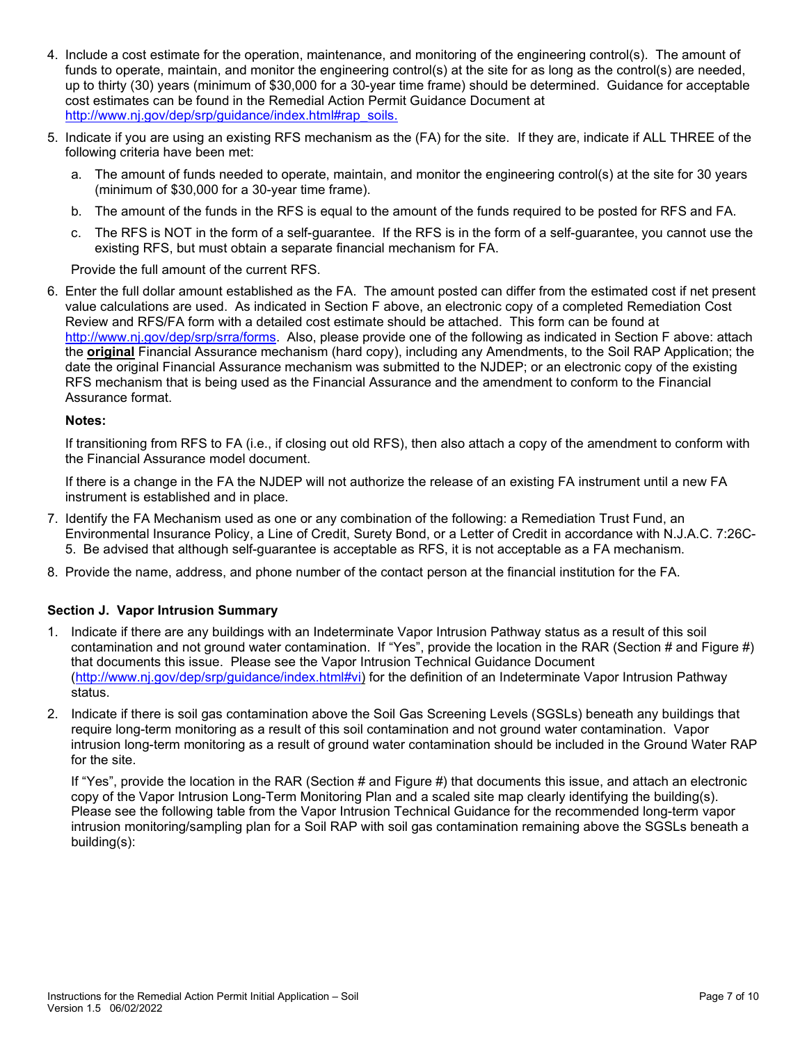- 4. Include a cost estimate for the operation, maintenance, and monitoring of the engineering control(s). The amount of funds to operate, maintain, and monitor the engineering control(s) at the site for as long as the control(s) are needed, up to thirty (30) years (minimum of \$30,000 for a 30-year time frame) should be determined. Guidance for acceptable cost estimates can be found in the Remedial Action Permit Guidance Document at [http://www.nj.gov/dep/srp/guidance/index.html#rap\\_soils.](http://www.nj.gov/dep/srp/guidance/index.html#rap_soils)
- 5. Indicate if you are using an existing RFS mechanism as the (FA) for the site. If they are, indicate if ALL THREE of the following criteria have been met:
	- a. The amount of funds needed to operate, maintain, and monitor the engineering control(s) at the site for 30 years (minimum of \$30,000 for a 30-year time frame).
	- b. The amount of the funds in the RFS is equal to the amount of the funds required to be posted for RFS and FA.
	- c. The RFS is NOT in the form of a self-guarantee. If the RFS is in the form of a self-guarantee, you cannot use the existing RFS, but must obtain a separate financial mechanism for FA.

Provide the full amount of the current RFS.

6. Enter the full dollar amount established as the FA. The amount posted can differ from the estimated cost if net present value calculations are used. As indicated in Section F above, an electronic copy of a completed Remediation Cost Review and RFS/FA form with a detailed cost estimate should be attached. This form can be found at [http://www.nj.gov/dep/srp/srra/forms.](http://www.nj.gov/dep/srp/srra/forms) Also, please provide one of the following as indicated in Section F above: attach the **original** Financial Assurance mechanism (hard copy), including any Amendments, to the Soil RAP Application; the date the original Financial Assurance mechanism was submitted to the NJDEP; or an electronic copy of the existing RFS mechanism that is being used as the Financial Assurance and the amendment to conform to the Financial Assurance format.

#### **Notes:**

If transitioning from RFS to FA (i.e., if closing out old RFS), then also attach a copy of the amendment to conform with the Financial Assurance model document.

If there is a change in the FA the NJDEP will not authorize the release of an existing FA instrument until a new FA instrument is established and in place.

- 7. Identify the FA Mechanism used as one or any combination of the following: a Remediation Trust Fund, an Environmental Insurance Policy, a Line of Credit, Surety Bond, or a Letter of Credit in accordance with N.J.A.C. 7:26C-5. Be advised that although self-guarantee is acceptable as RFS, it is not acceptable as a FA mechanism.
- 8. Provide the name, address, and phone number of the contact person at the financial institution for the FA.

## **Section J. Vapor Intrusion Summary**

- 1. Indicate if there are any buildings with an Indeterminate Vapor Intrusion Pathway status as a result of this soil contamination and not ground water contamination. If "Yes", provide the location in the RAR (Section # and Figure #) that documents this issue. Please see the Vapor Intrusion Technical Guidance Document [\(http://www.nj.gov/dep/srp/guidance/index.html#vi\)](http://www.nj.gov/dep/srp/guidance/index.html#vi) for the definition of an Indeterminate Vapor Intrusion Pathway status.
- 2. Indicate if there is soil gas contamination above the Soil Gas Screening Levels (SGSLs) beneath any buildings that require long-term monitoring as a result of this soil contamination and not ground water contamination. Vapor intrusion long-term monitoring as a result of ground water contamination should be included in the Ground Water RAP for the site.

If "Yes", provide the location in the RAR (Section # and Figure #) that documents this issue, and attach an electronic copy of the Vapor Intrusion Long-Term Monitoring Plan and a scaled site map clearly identifying the building(s). Please see the following table from the Vapor Intrusion Technical Guidance for the recommended long-term vapor intrusion monitoring/sampling plan for a Soil RAP with soil gas contamination remaining above the SGSLs beneath a building(s):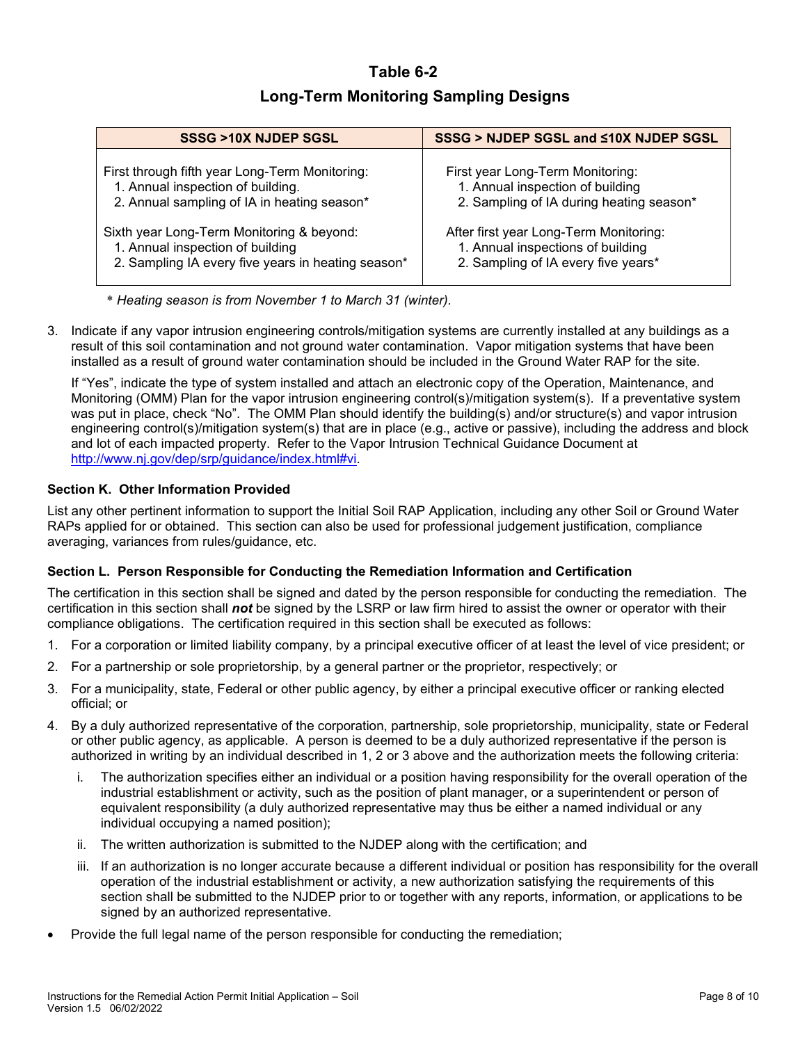# **Table 6-2 Long-Term Monitoring Sampling Designs**

| SSSG >10X NJDEP SGSL                               | SSSG > NJDEP SGSL and <10X NJDEP SGSL    |
|----------------------------------------------------|------------------------------------------|
| First through fifth year Long-Term Monitoring:     | First year Long-Term Monitoring:         |
| 1. Annual inspection of building.                  | 1. Annual inspection of building         |
| 2. Annual sampling of IA in heating season*        | 2. Sampling of IA during heating season* |
| Sixth year Long-Term Monitoring & beyond:          | After first year Long-Term Monitoring:   |
| 1. Annual inspection of building                   | 1. Annual inspections of building        |
| 2. Sampling IA every five years in heating season* | 2. Sampling of IA every five years*      |

\* *Heating season is from November 1 to March 31 (winter).*

3. Indicate if any vapor intrusion engineering controls/mitigation systems are currently installed at any buildings as a result of this soil contamination and not ground water contamination. Vapor mitigation systems that have been installed as a result of ground water contamination should be included in the Ground Water RAP for the site.

If "Yes", indicate the type of system installed and attach an electronic copy of the Operation, Maintenance, and Monitoring (OMM) Plan for the vapor intrusion engineering control(s)/mitigation system(s). If a preventative system was put in place, check "No". The OMM Plan should identify the building(s) and/or structure(s) and vapor intrusion engineering control(s)/mitigation system(s) that are in place (e.g., active or passive), including the address and block and lot of each impacted property. Refer to the Vapor Intrusion Technical Guidance Document at [http://www.nj.gov/dep/srp/guidance/index.html#vi.](http://www.nj.gov/dep/srp/guidance/index.html#vi)

# **Section K. Other Information Provided**

List any other pertinent information to support the Initial Soil RAP Application, including any other Soil or Ground Water RAPs applied for or obtained. This section can also be used for professional judgement justification, compliance averaging, variances from rules/guidance, etc.

## **Section L. Person Responsible for Conducting the Remediation Information and Certification**

The certification in this section shall be signed and dated by the person responsible for conducting the remediation. The certification in this section shall *not* be signed by the LSRP or law firm hired to assist the owner or operator with their compliance obligations. The certification required in this section shall be executed as follows:

- 1. For a corporation or limited liability company, by a principal executive officer of at least the level of vice president; or
- 2. For a partnership or sole proprietorship, by a general partner or the proprietor, respectively; or
- 3. For a municipality, state, Federal or other public agency, by either a principal executive officer or ranking elected official; or
- 4. By a duly authorized representative of the corporation, partnership, sole proprietorship, municipality, state or Federal or other public agency, as applicable. A person is deemed to be a duly authorized representative if the person is authorized in writing by an individual described in 1, 2 or 3 above and the authorization meets the following criteria:
	- i. The authorization specifies either an individual or a position having responsibility for the overall operation of the industrial establishment or activity, such as the position of plant manager, or a superintendent or person of equivalent responsibility (a duly authorized representative may thus be either a named individual or any individual occupying a named position);
	- ii. The written authorization is submitted to the NJDEP along with the certification; and
	- iii. If an authorization is no longer accurate because a different individual or position has responsibility for the overall operation of the industrial establishment or activity, a new authorization satisfying the requirements of this section shall be submitted to the NJDEP prior to or together with any reports, information, or applications to be signed by an authorized representative.
- Provide the full legal name of the person responsible for conducting the remediation;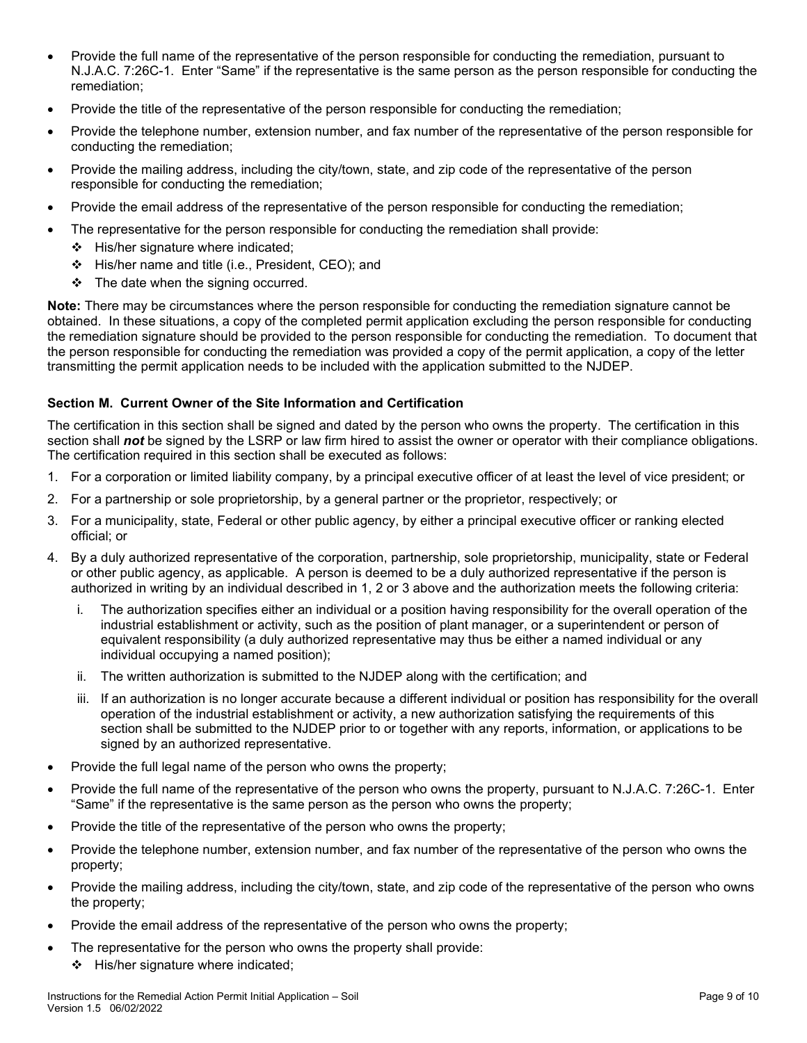- Provide the full name of the representative of the person responsible for conducting the remediation, pursuant to N.J.A.C. 7:26C-1. Enter "Same" if the representative is the same person as the person responsible for conducting the remediation;
- Provide the title of the representative of the person responsible for conducting the remediation;
- Provide the telephone number, extension number, and fax number of the representative of the person responsible for conducting the remediation;
- Provide the mailing address, including the city/town, state, and zip code of the representative of the person responsible for conducting the remediation;
- Provide the email address of the representative of the person responsible for conducting the remediation;
- The representative for the person responsible for conducting the remediation shall provide:
	- $\div$  His/her signature where indicated;
	- His/her name and title (i.e., President, CEO); and
	- $\div$  The date when the signing occurred.

**Note:** There may be circumstances where the person responsible for conducting the remediation signature cannot be obtained. In these situations, a copy of the completed permit application excluding the person responsible for conducting the remediation signature should be provided to the person responsible for conducting the remediation. To document that the person responsible for conducting the remediation was provided a copy of the permit application, a copy of the letter transmitting the permit application needs to be included with the application submitted to the NJDEP.

#### **Section M. Current Owner of the Site Information and Certification**

The certification in this section shall be signed and dated by the person who owns the property. The certification in this section shall *not* be signed by the LSRP or law firm hired to assist the owner or operator with their compliance obligations. The certification required in this section shall be executed as follows:

- 1. For a corporation or limited liability company, by a principal executive officer of at least the level of vice president; or
- 2. For a partnership or sole proprietorship, by a general partner or the proprietor, respectively; or
- 3. For a municipality, state, Federal or other public agency, by either a principal executive officer or ranking elected official; or
- 4. By a duly authorized representative of the corporation, partnership, sole proprietorship, municipality, state or Federal or other public agency, as applicable. A person is deemed to be a duly authorized representative if the person is authorized in writing by an individual described in 1, 2 or 3 above and the authorization meets the following criteria:
	- i. The authorization specifies either an individual or a position having responsibility for the overall operation of the industrial establishment or activity, such as the position of plant manager, or a superintendent or person of equivalent responsibility (a duly authorized representative may thus be either a named individual or any individual occupying a named position);
	- ii. The written authorization is submitted to the NJDEP along with the certification; and
	- iii. If an authorization is no longer accurate because a different individual or position has responsibility for the overall operation of the industrial establishment or activity, a new authorization satisfying the requirements of this section shall be submitted to the NJDEP prior to or together with any reports, information, or applications to be signed by an authorized representative.
- Provide the full legal name of the person who owns the property;
- Provide the full name of the representative of the person who owns the property, pursuant to N.J.A.C. 7:26C-1. Enter "Same" if the representative is the same person as the person who owns the property;
- Provide the title of the representative of the person who owns the property;
- Provide the telephone number, extension number, and fax number of the representative of the person who owns the property;
- Provide the mailing address, including the city/town, state, and zip code of the representative of the person who owns the property;
- Provide the email address of the representative of the person who owns the property;
- The representative for the person who owns the property shall provide:
	- $\div$  His/her signature where indicated;